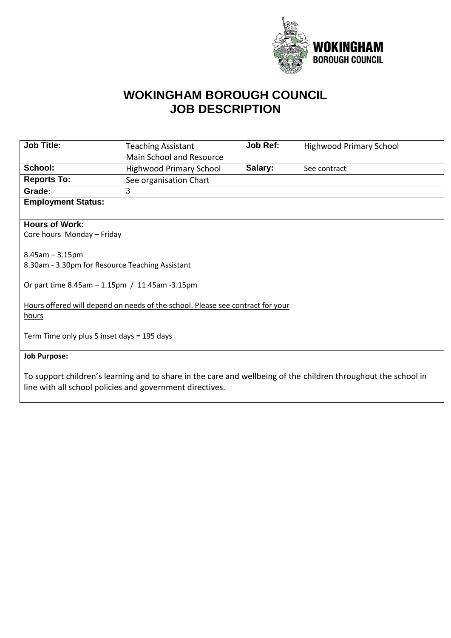

## **WOKINGHAM BOROUGH COUNCIL JOB DESCRIPTION**

| <b>Job Title:</b>                                                                       | <b>Teaching Assistant</b>                                | <b>Job Ref:</b> | <b>Highwood Primary School</b>                                                                                 |  |
|-----------------------------------------------------------------------------------------|----------------------------------------------------------|-----------------|----------------------------------------------------------------------------------------------------------------|--|
|                                                                                         | Main School and Resource                                 |                 |                                                                                                                |  |
| School:                                                                                 | <b>Highwood Primary School</b>                           | Salary:         | See contract                                                                                                   |  |
| <b>Reports To:</b>                                                                      | See organisation Chart                                   |                 |                                                                                                                |  |
| Grade:                                                                                  | 3                                                        |                 |                                                                                                                |  |
| <b>Employment Status:</b>                                                               |                                                          |                 |                                                                                                                |  |
|                                                                                         |                                                          |                 |                                                                                                                |  |
| <b>Hours of Work:</b>                                                                   |                                                          |                 |                                                                                                                |  |
| Core hours Monday - Friday                                                              |                                                          |                 |                                                                                                                |  |
| $8.45$ am $- 3.15$ pm                                                                   | 8.30am - 3.30pm for Resource Teaching Assistant          |                 |                                                                                                                |  |
|                                                                                         | Or part time 8.45am - 1.15pm / 11.45am -3.15pm           |                 |                                                                                                                |  |
| Hours offered will depend on needs of the school. Please see contract for your<br>hours |                                                          |                 |                                                                                                                |  |
| Term Time only plus 5 inset days = 195 days                                             |                                                          |                 |                                                                                                                |  |
| <b>Job Purpose:</b>                                                                     |                                                          |                 |                                                                                                                |  |
|                                                                                         | line with all school policies and government directives. |                 | To support children's learning and to share in the care and wellbeing of the children throughout the school in |  |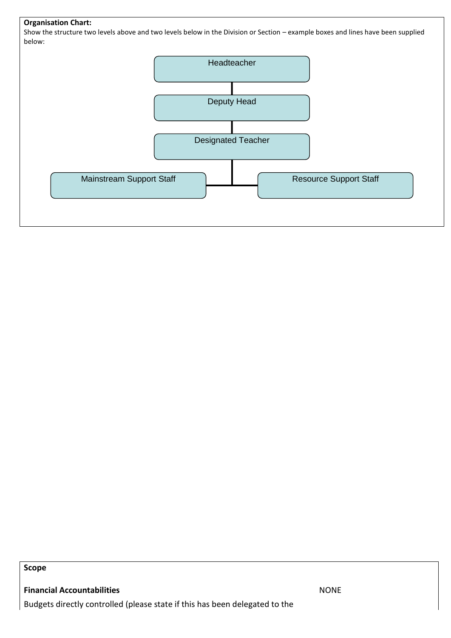## **Organisation Chart:**

Show the structure two levels above and two levels below in the Division or Section – example boxes and lines have been supplied below:



**Scope**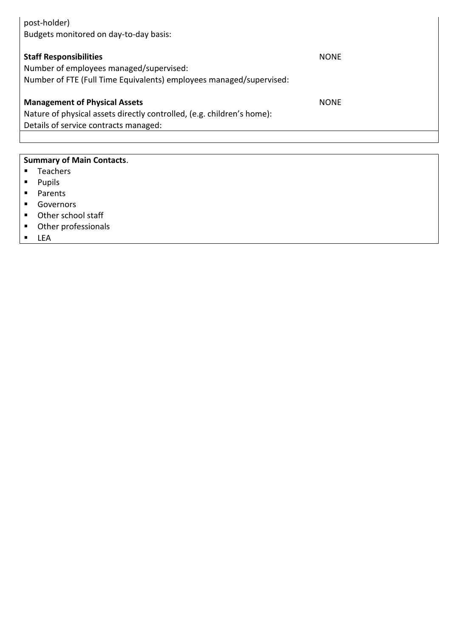| post-holder)<br>Budgets monitored on day-to-day basis:                                                                                                  |             |  |
|---------------------------------------------------------------------------------------------------------------------------------------------------------|-------------|--|
| <b>Staff Responsibilities</b><br>Number of employees managed/supervised:<br>Number of FTE (Full Time Equivalents) employees managed/supervised:         | <b>NONE</b> |  |
| <b>Management of Physical Assets</b><br>Nature of physical assets directly controlled, (e.g. children's home):<br>Details of service contracts managed: | <b>NONE</b> |  |
|                                                                                                                                                         |             |  |

## **Summary of Main Contacts**.

- Teachers
- Pupils
- Parents
- Governors
- Other school staff
- Other professionals
- LEA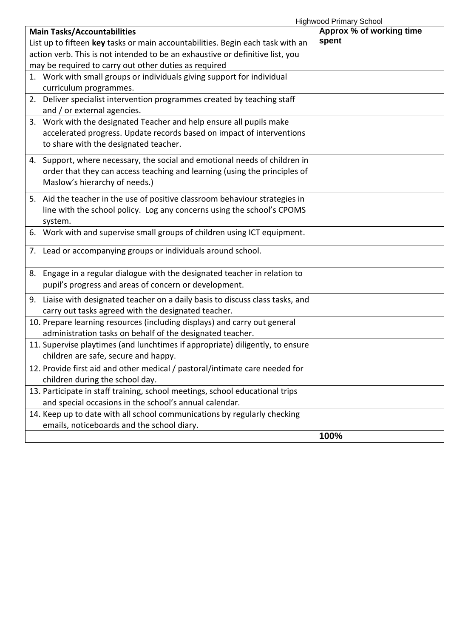| <b>Highwood Primary School</b>                                                 |                          |
|--------------------------------------------------------------------------------|--------------------------|
| <b>Main Tasks/Accountabilities</b>                                             | Approx % of working time |
| List up to fifteen key tasks or main accountabilities. Begin each task with an | spent                    |
| action verb. This is not intended to be an exhaustive or definitive list, you  |                          |
| may be required to carry out other duties as required                          |                          |
| 1. Work with small groups or individuals giving support for individual         |                          |
| curriculum programmes.                                                         |                          |
| 2. Deliver specialist intervention programmes created by teaching staff        |                          |
| and / or external agencies.                                                    |                          |
| 3. Work with the designated Teacher and help ensure all pupils make            |                          |
| accelerated progress. Update records based on impact of interventions          |                          |
| to share with the designated teacher.                                          |                          |
| 4. Support, where necessary, the social and emotional needs of children in     |                          |
| order that they can access teaching and learning (using the principles of      |                          |
| Maslow's hierarchy of needs.)                                                  |                          |
|                                                                                |                          |
| 5. Aid the teacher in the use of positive classroom behaviour strategies in    |                          |
| line with the school policy. Log any concerns using the school's CPOMS         |                          |
| system.                                                                        |                          |
| 6. Work with and supervise small groups of children using ICT equipment.       |                          |
| 7. Lead or accompanying groups or individuals around school.                   |                          |
| 8. Engage in a regular dialogue with the designated teacher in relation to     |                          |
| pupil's progress and areas of concern or development.                          |                          |
|                                                                                |                          |
| 9. Liaise with designated teacher on a daily basis to discuss class tasks, and |                          |
| carry out tasks agreed with the designated teacher.                            |                          |
| 10. Prepare learning resources (including displays) and carry out general      |                          |
| administration tasks on behalf of the designated teacher.                      |                          |
| 11. Supervise playtimes (and lunchtimes if appropriate) diligently, to ensure  |                          |
| children are safe, secure and happy.                                           |                          |
| 12. Provide first aid and other medical / pastoral/intimate care needed for    |                          |
| children during the school day.                                                |                          |
| 13. Participate in staff training, school meetings, school educational trips   |                          |
| and special occasions in the school's annual calendar.                         |                          |
| 14. Keep up to date with all school communications by regularly checking       |                          |
| emails, noticeboards and the school diary.                                     |                          |
|                                                                                | 100%                     |